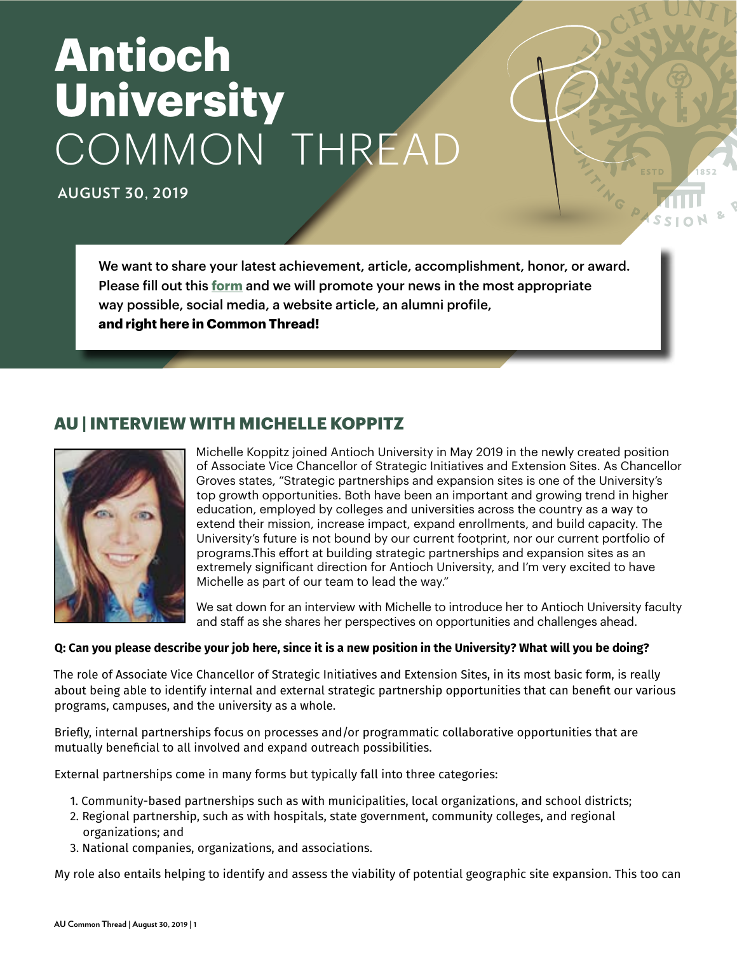# **Antioch University** COMMON THREAD

**AUGUST 30, 2019**

We want to share your latest achievement, article, accomplishment, honor, or award. Please fill out this **[form](https://sites.google.com/a/antioch.edu/marketingteam/share-your-good-news)** and we will promote your news in the most appropriate way possible, social media, a website article, an alumni profile, **and right here in Common Thread!**

# **AU | INTERVIEW WITH MICHELLE KOPPITZ**



Michelle Koppitz joined Antioch University in May 2019 in the newly created position of Associate Vice Chancellor of Strategic Initiatives and Extension Sites. As Chancellor Groves states, "Strategic partnerships and expansion sites is one of the University's top growth opportunities. Both have been an important and growing trend in higher education, employed by colleges and universities across the country as a way to extend their mission, increase impact, expand enrollments, and build capacity. The University's future is not bound by our current footprint, nor our current portfolio of programs.This effort at building strategic partnerships and expansion sites as an extremely significant direction for Antioch University, and I'm very excited to have Michelle as part of our team to lead the way."

We sat down for an interview with Michelle to introduce her to Antioch University faculty and staff as she shares her perspectives on opportunities and challenges ahead.

#### **Q: Can you please describe your job here, since it is a new position in the University? What will you be doing?**

The role of Associate Vice Chancellor of Strategic Initiatives and Extension Sites, in its most basic form, is really about being able to identify internal and external strategic partnership opportunities that can benefit our various programs, campuses, and the university as a whole.

Briefly, internal partnerships focus on processes and/or programmatic collaborative opportunities that are mutually beneficial to all involved and expand outreach possibilities.

External partnerships come in many forms but typically fall into three categories:

- 1. Community-based partnerships such as with municipalities, local organizations, and school districts;
- 2. Regional partnership, such as with hospitals, state government, community colleges, and regional organizations; and
- 3. National companies, organizations, and associations.

My role also entails helping to identify and assess the viability of potential geographic site expansion. This too can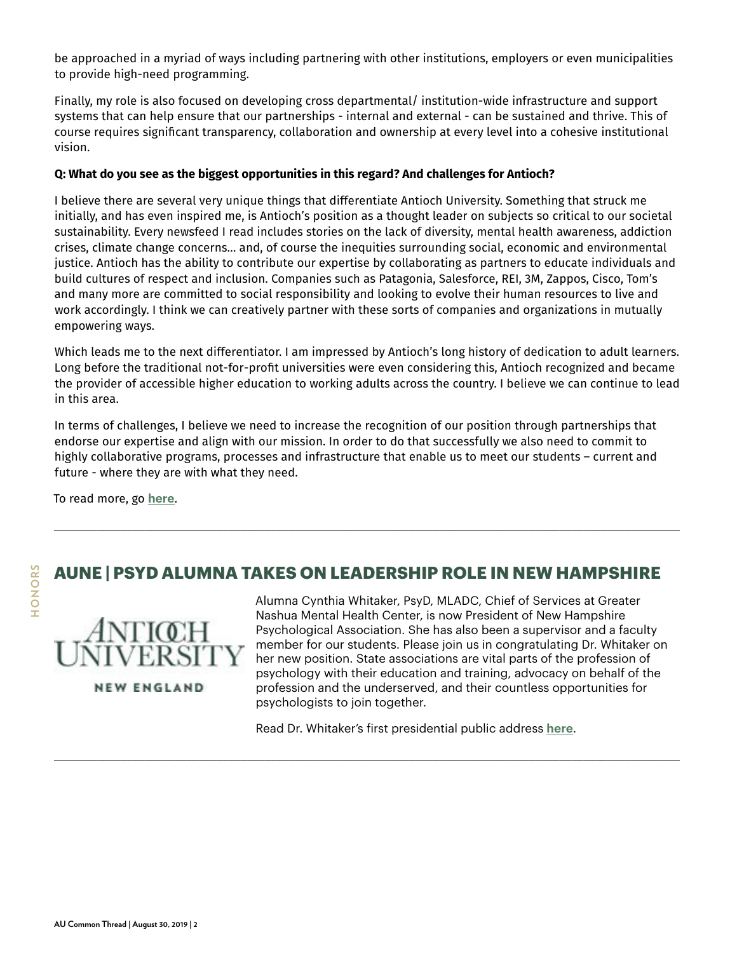be approached in a myriad of ways including partnering with other institutions, employers or even municipalities to provide high-need programming.

Finally, my role is also focused on developing cross departmental/ institution-wide infrastructure and support systems that can help ensure that our partnerships - internal and external - can be sustained and thrive. This of course requires significant transparency, collaboration and ownership at every level into a cohesive institutional vision.

#### **Q: What do you see as the biggest opportunities in this regard? And challenges for Antioch?**

I believe there are several very unique things that differentiate Antioch University. Something that struck me initially, and has even inspired me, is Antioch's position as a thought leader on subjects so critical to our societal sustainability. Every newsfeed I read includes stories on the lack of diversity, mental health awareness, addiction crises, climate change concerns… and, of course the inequities surrounding social, economic and environmental justice. Antioch has the ability to contribute our expertise by collaborating as partners to educate individuals and build cultures of respect and inclusion. Companies such as Patagonia, Salesforce, REI, 3M, Zappos, Cisco, Tom's and many more are committed to social responsibility and looking to evolve their human resources to live and work accordingly. I think we can creatively partner with these sorts of companies and organizations in mutually empowering ways.

Which leads me to the next differentiator. I am impressed by Antioch's long history of dedication to adult learners. Long before the traditional not-for-profit universities were even considering this, Antioch recognized and became the provider of accessible higher education to working adults across the country. I believe we can continue to lead in this area.

In terms of challenges, I believe we need to increase the recognition of our position through partnerships that endorse our expertise and align with our mission. In order to do that successfully we also need to commit to highly collaborative programs, processes and infrastructure that enable us to meet our students – current and future - where they are with what they need.

To read more, go **[here](https://www.antioch.edu/blog/2019/08/30/interview-with-michelle-koppitz-associate-vice-chancellor-of-strategic-initiatives-and-extension-sites/)**.

# **AUNE | PSYD ALUMNA TAKES ON LEADERSHIP ROLE IN NEW HAMPSHIRE**

\_\_\_\_\_\_\_\_\_\_\_\_\_\_\_\_\_\_\_\_\_\_\_\_\_\_\_\_\_\_\_\_\_\_\_\_\_\_\_\_\_\_\_\_\_\_\_\_\_\_\_\_\_\_\_\_\_\_\_\_\_\_\_\_\_\_\_\_\_\_\_\_\_\_\_\_\_\_\_\_\_\_\_\_\_\_\_\_\_\_\_\_\_\_\_\_\_\_\_\_\_\_\_\_

\_\_\_\_\_\_\_\_\_\_\_\_\_\_\_\_\_\_\_\_\_\_\_\_\_\_\_\_\_\_\_\_\_\_\_\_\_\_\_\_\_\_\_\_\_\_\_\_\_\_\_\_\_\_\_\_\_\_\_\_\_\_\_\_\_\_\_\_\_\_\_\_\_\_\_\_\_\_\_\_\_\_\_\_\_\_\_\_\_\_\_\_\_\_\_\_\_\_\_\_\_\_\_\_



Alumna Cynthia Whitaker, PsyD, MLADC, Chief of Services at Greater Nashua Mental Health Center, is now President of New Hampshire Psychological Association. She has also been a supervisor and a faculty member for our students. Please join us in congratulating Dr. Whitaker on her new position. State associations are vital parts of the profession of psychology with their education and training, advocacy on behalf of the profession and the underserved, and their countless opportunities for psychologists to join together.

Read Dr. Whitaker's first presidential public address **[here](https://nhpsychology.org/about-nhpa/governance/presidents-message/)**.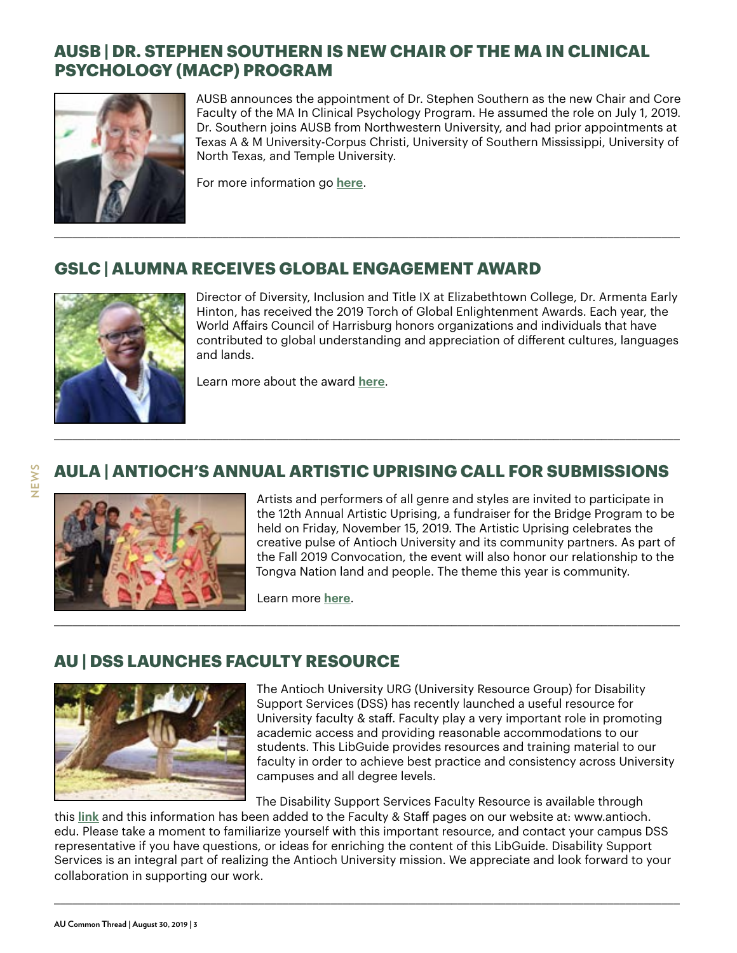# **AUSB | DR. STEPHEN SOUTHERN IS NEW CHAIR OF THE MA IN CLINICAL PSYCHOLOGY (MACP) PROGRAM**



AUSB announces the appointment of Dr. Stephen Southern as the new Chair and Core Faculty of the MA In Clinical Psychology Program. He assumed the role on July 1, 2019. Dr. Southern joins AUSB from Northwestern University, and had prior appointments at Texas A & M University-Corpus Christi, University of Southern Mississippi, University of North Texas, and Temple University.

For more information go **[here](https://www.antioch.edu/santa-barbara/2019/08/10/dr-stephen-southern-is-new-chair-of-the-ma-in-clinical-psychology-macp-program/)**.

#### **GSLC | ALUMNA RECEIVES GLOBAL ENGAGEMENT AWARD**



Director of Diversity, Inclusion and Title IX at Elizabethtown College, Dr. Armenta Early Hinton, has received the 2019 Torch of Global Enlightenment Awards. Each year, the World Affairs Council of Harrisburg honors organizations and individuals that have contributed to global understanding and appreciation of different cultures, languages and lands.

Learn more about the award **[here](https://wacharrisburg.ticketleap.com/2019-torch-of-global-enlightenment-awards/details)**.

# **AULA | ANTIOCH'S ANNUAL ARTISTIC UPRISING CALL FOR SUBMISSIONS**

\_\_\_\_\_\_\_\_\_\_\_\_\_\_\_\_\_\_\_\_\_\_\_\_\_\_\_\_\_\_\_\_\_\_\_\_\_\_\_\_\_\_\_\_\_\_\_\_\_\_\_\_\_\_\_\_\_\_\_\_\_\_\_\_\_\_\_\_\_\_\_\_\_\_\_\_\_\_\_\_\_\_\_\_\_\_\_\_\_\_\_\_\_\_\_\_\_\_\_\_\_\_\_\_



Artists and performers of all genre and styles are invited to participate in the 12th Annual Artistic Uprising, a fundraiser for the Bridge Program to be held on Friday, November 15, 2019. The Artistic Uprising celebrates the creative pulse of Antioch University and its community partners. As part of the Fall 2019 Convocation, the event will also honor our relationship to the Tongva Nation land and people. The theme this year is community.

Learn more **[here](https://www.antioch.edu/los-angeles/2019/08/09/antioch-12th-annual-artistic-uprising-application/)**.

# **AU | DSS LAUNCHES FACULTY RESOURCE**



The Antioch University URG (University Resource Group) for Disability Support Services (DSS) has recently launched a useful resource for University faculty & staff. Faculty play a very important role in promoting academic access and providing reasonable accommodations to our students. This LibGuide provides resources and training material to our faculty in order to achieve best practice and consistency across University campuses and all degree levels.

The Disability Support Services Faculty Resource is available through

this **[link](https://libguides.antioch.edu/dssfacultyresource)** and this information has been added to the Faculty & Staff pages on our website at: www.antioch. edu. Please take a moment to familiarize yourself with this important resource, and contact your campus DSS representative if you have questions, or ideas for enriching the content of this LibGuide. Disability Support Services is an integral part of realizing the Antioch University mission. We appreciate and look forward to your collaboration in supporting our work.

\_\_\_\_\_\_\_\_\_\_\_\_\_\_\_\_\_\_\_\_\_\_\_\_\_\_\_\_\_\_\_\_\_\_\_\_\_\_\_\_\_\_\_\_\_\_\_\_\_\_\_\_\_\_\_\_\_\_\_\_\_\_\_\_\_\_\_\_\_\_\_\_\_\_\_\_\_\_\_\_\_\_\_\_\_\_\_\_\_\_\_\_\_\_\_\_\_\_\_\_\_\_\_\_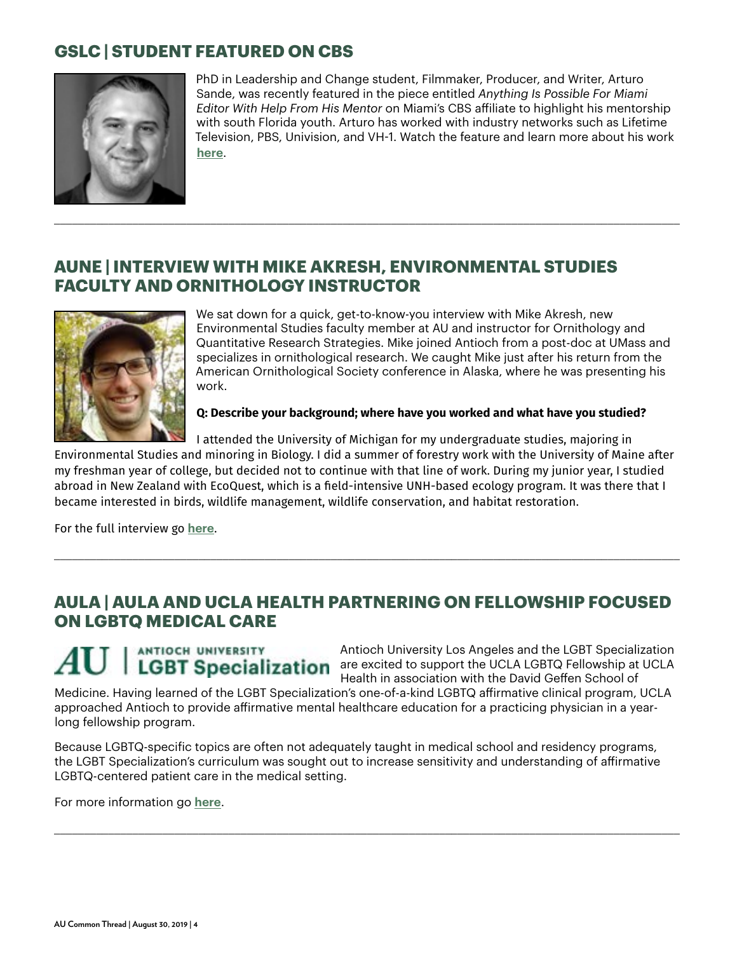# **GSLC | STUDENT FEATURED ON CBS**



PhD in Leadership and Change student, Filmmaker, Producer, and Writer, Arturo Sande, was recently featured in the piece entitled *Anything Is Possible For Miami Editor With Help From His Mentor* on Miami's CBS affiliate to highlight his mentorship with south Florida youth. Arturo has worked with industry networks such as Lifetime Television, PBS, Univision, and VH-1. Watch the feature and learn more about his work **[here](https://miami.cbslocal.com/2019/03/19/mentoring-matters-editor/)**.

#### **AUNE | INTERVIEW WITH MIKE AKRESH, ENVIRONMENTAL STUDIES FACULTY AND ORNITHOLOGY INSTRUCTOR**

\_\_\_\_\_\_\_\_\_\_\_\_\_\_\_\_\_\_\_\_\_\_\_\_\_\_\_\_\_\_\_\_\_\_\_\_\_\_\_\_\_\_\_\_\_\_\_\_\_\_\_\_\_\_\_\_\_\_\_\_\_\_\_\_\_\_\_\_\_\_\_\_\_\_\_\_\_\_\_\_\_\_\_\_\_\_\_\_\_\_\_\_\_\_\_\_\_\_\_\_\_\_\_\_



We sat down for a quick, get-to-know-you interview with Mike Akresh, new Environmental Studies faculty member at AU and instructor for Ornithology and Quantitative Research Strategies. Mike joined Antioch from a post-doc at UMass and specializes in ornithological research. We caught Mike just after his return from the American Ornithological Society conference in Alaska, where he was presenting his work.

**Q: Describe your background; where have you worked and what have you studied?**

I attended the University of Michigan for my undergraduate studies, majoring in

Environmental Studies and minoring in Biology. I did a summer of forestry work with the University of Maine after my freshman year of college, but decided not to continue with that line of work. During my junior year, I studied abroad in New Zealand with EcoQuest, which is a field-intensive UNH-based ecology program. It was there that I became interested in birds, wildlife management, wildlife conservation, and habitat restoration.

For the full interview go **[here](https://www.antioch.edu/new-england/2019/07/22/interview-with-mike-akresh-environmental-studies-faculty-and-ornithology-instructor/)**.

#### **AULA | AULA AND UCLA HEALTH PARTNERING ON FELLOWSHIP FOCUSED ON LGBTQ MEDICAL CARE**

\_\_\_\_\_\_\_\_\_\_\_\_\_\_\_\_\_\_\_\_\_\_\_\_\_\_\_\_\_\_\_\_\_\_\_\_\_\_\_\_\_\_\_\_\_\_\_\_\_\_\_\_\_\_\_\_\_\_\_\_\_\_\_\_\_\_\_\_\_\_\_\_\_\_\_\_\_\_\_\_\_\_\_\_\_\_\_\_\_\_\_\_\_\_\_\_\_\_\_\_\_\_\_\_

ANTIOCH UNIVERSITY

Antioch University Los Angeles and the LGBT Specialization are excited to support the UCLA LGBTQ Fellowship at UCLA Health in association with the David Geffen School of

Medicine. Having learned of the LGBT Specialization's one-of-a-kind LGBTQ affirmative clinical program, UCLA approached Antioch to provide affirmative mental healthcare education for a practicing physician in a yearlong fellowship program.

Because LGBTQ-specific topics are often not adequately taught in medical school and residency programs, the LGBT Specialization's curriculum was sought out to increase sensitivity and understanding of affirmative LGBTQ-centered patient care in the medical setting.

\_\_\_\_\_\_\_\_\_\_\_\_\_\_\_\_\_\_\_\_\_\_\_\_\_\_\_\_\_\_\_\_\_\_\_\_\_\_\_\_\_\_\_\_\_\_\_\_\_\_\_\_\_\_\_\_\_\_\_\_\_\_\_\_\_\_\_\_\_\_\_\_\_\_\_\_\_\_\_\_\_\_\_\_\_\_\_\_\_\_\_\_\_\_\_\_\_\_\_\_\_\_\_\_

For more information go **[here](https://www.antioch.edu/los-angeles/2019/08/18/aula-and-ucla-partner-to-offer-lgbt-specialization-joint-fellowship/)**.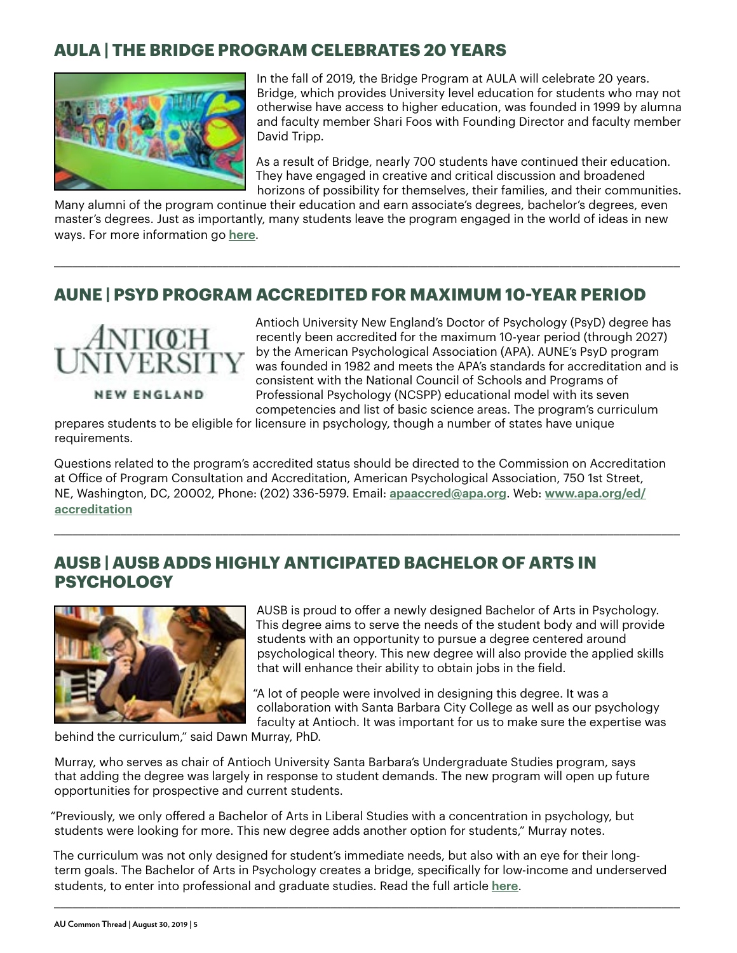## **AULA | THE BRIDGE PROGRAM CELEBRATES 20 YEARS**



In the fall of 2019, the Bridge Program at AULA will celebrate 20 years. Bridge, which provides University level education for students who may not otherwise have access to higher education, was founded in 1999 by alumna and faculty member Shari Foos with Founding Director and faculty member David Tripp.

As a result of Bridge, nearly 700 students have continued their education. They have engaged in creative and critical discussion and broadened horizons of possibility for themselves, their families, and their communities.

Many alumni of the program continue their education and earn associate's degrees, bachelor's degrees, even master's degrees. Just as importantly, many students leave the program engaged in the world of ideas in new ways. For more information go **[here](https://www.antioch.edu/los-angeles/2019/08/18/the-bridge-program-celebrates-20-years/)**.

\_\_\_\_\_\_\_\_\_\_\_\_\_\_\_\_\_\_\_\_\_\_\_\_\_\_\_\_\_\_\_\_\_\_\_\_\_\_\_\_\_\_\_\_\_\_\_\_\_\_\_\_\_\_\_\_\_\_\_\_\_\_\_\_\_\_\_\_\_\_\_\_\_\_\_\_\_\_\_\_\_\_\_\_\_\_\_\_\_\_\_\_\_\_\_\_\_\_\_\_\_\_\_\_

#### **AUNE | PSYD PROGRAM ACCREDITED FOR MAXIMUM 10-YEAR PERIOD**



**NEW ENGLAND** 

Antioch University New England's Doctor of Psychology (PsyD) degree has recently been accredited for the maximum 10-year period (through 2027) by the American Psychological Association (APA). AUNE's PsyD program was founded in 1982 and meets the APA's standards for accreditation and is consistent with the National Council of Schools and Programs of Professional Psychology (NCSPP) educational model with its seven competencies and list of basic science areas. The program's curriculum

prepares students to be eligible for licensure in psychology, though a number of states have unique requirements.

Questions related to the program's accredited status should be directed to the Commission on Accreditation at Office of Program Consultation and Accreditation, American Psychological Association, 750 1st Street, NE, Washington, DC, 20002, Phone: (202) 336-5979. Email: **[apaaccred@apa.org](mailto:apaaccred@apa.org)**. Web: **[www.apa.org/ed/](www.apa.org/ed/accreditation) [accreditation](www.apa.org/ed/accreditation)**

\_\_\_\_\_\_\_\_\_\_\_\_\_\_\_\_\_\_\_\_\_\_\_\_\_\_\_\_\_\_\_\_\_\_\_\_\_\_\_\_\_\_\_\_\_\_\_\_\_\_\_\_\_\_\_\_\_\_\_\_\_\_\_\_\_\_\_\_\_\_\_\_\_\_\_\_\_\_\_\_\_\_\_\_\_\_\_\_\_\_\_\_\_\_\_\_\_\_\_\_\_\_\_\_

#### **AUSB | AUSB ADDS HIGHLY ANTICIPATED BACHELOR OF ARTS IN PSYCHOLOGY**



AUSB is proud to offer a newly designed Bachelor of Arts in Psychology. This degree aims to serve the needs of the student body and will provide students with an opportunity to pursue a degree centered around psychological theory. This new degree will also provide the applied skills that will enhance their ability to obtain jobs in the field.

"A lot of people were involved in designing this degree. It was a collaboration with Santa Barbara City College as well as our psychology faculty at Antioch. It was important for us to make sure the expertise was

behind the curriculum," said Dawn Murray, PhD.

Murray, who serves as chair of Antioch University Santa Barbara's Undergraduate Studies program, says that adding the degree was largely in response to student demands. The new program will open up future opportunities for prospective and current students.

"Previously, we only offered a Bachelor of Arts in Liberal Studies with a concentration in psychology, but students were looking for more. This new degree adds another option for students," Murray notes.

The curriculum was not only designed for student's immediate needs, but also with an eye for their longterm goals. The Bachelor of Arts in Psychology creates a bridge, specifically for low-income and underserved students, to enter into professional and graduate studies. Read the full article **[here](https://www.antioch.edu/santa-barbara/2019/08/28/ausb-adds-highly-anticipated-bachelor-of-arts-in-psychology/)**.

\_\_\_\_\_\_\_\_\_\_\_\_\_\_\_\_\_\_\_\_\_\_\_\_\_\_\_\_\_\_\_\_\_\_\_\_\_\_\_\_\_\_\_\_\_\_\_\_\_\_\_\_\_\_\_\_\_\_\_\_\_\_\_\_\_\_\_\_\_\_\_\_\_\_\_\_\_\_\_\_\_\_\_\_\_\_\_\_\_\_\_\_\_\_\_\_\_\_\_\_\_\_\_\_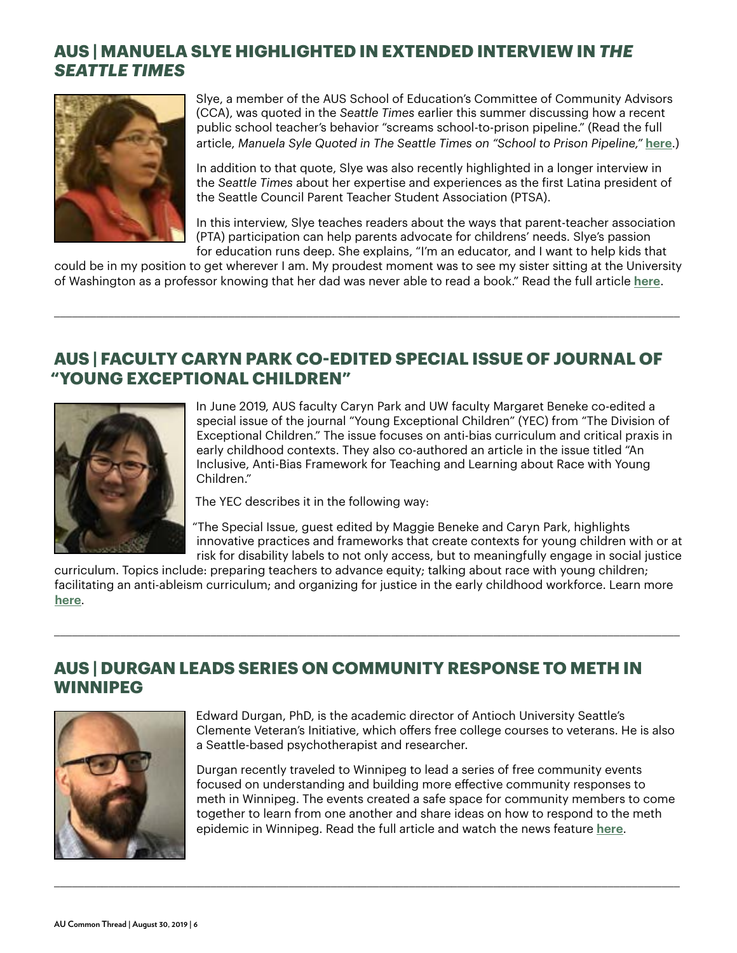# **AUS | MANUELA SLYE HIGHLIGHTED IN EXTENDED INTERVIEW IN** *THE SEATTLE TIMES*



Slye, a member of the AUS School of Education's Committee of Community Advisors (CCA), was quoted in the *Seattle Times* earlier this summer discussing how a recent public school teacher's behavior "screams school-to-prison pipeline." (Read the full article, *Manuela Syle Quoted in The Seattle Times on "School to Prison Pipeline,"* **[here](https://www.antioch.edu/seattle/2019/08/19/manuela-syle-quoted-in-seattle-times-on-school-to-prison-pipeline/)**.)

In addition to that quote, Slye was also recently highlighted in a longer interview in the *Seattle Times* about her expertise and experiences as the first Latina president of the Seattle Council Parent Teacher Student Association (PTSA).

In this interview, Slye teaches readers about the ways that parent-teacher association (PTA) participation can help parents advocate for childrens' needs. Slye's passion for education runs deep. She explains, "I'm an educator, and I want to help kids that

could be in my position to get wherever I am. My proudest moment was to see my sister sitting at the University of Washington as a professor knowing that her dad was never able to read a book." Read the full article **[here](https://www.antioch.edu/seattle/2019/08/19/manuela-slye-highlighted-in-extended-interview-in-the-seattle-times/)**.

\_\_\_\_\_\_\_\_\_\_\_\_\_\_\_\_\_\_\_\_\_\_\_\_\_\_\_\_\_\_\_\_\_\_\_\_\_\_\_\_\_\_\_\_\_\_\_\_\_\_\_\_\_\_\_\_\_\_\_\_\_\_\_\_\_\_\_\_\_\_\_\_\_\_\_\_\_\_\_\_\_\_\_\_\_\_\_\_\_\_\_\_\_\_\_\_\_\_\_\_\_\_\_\_

#### **AUS | FACULTY CARYN PARK CO-EDITED SPECIAL ISSUE OF JOURNAL OF "YOUNG EXCEPTIONAL CHILDREN"**



In June 2019, AUS faculty Caryn Park and UW faculty Margaret Beneke co-edited a special issue of the journal "Young Exceptional Children" (YEC) from "The Division of Exceptional Children." The issue focuses on anti-bias curriculum and critical praxis in early childhood contexts. They also co-authored an article in the issue titled "An Inclusive, Anti-Bias Framework for Teaching and Learning about Race with Young Children."

The YEC describes it in the following way:

"The Special Issue, guest edited by Maggie Beneke and Caryn Park, highlights innovative practices and frameworks that create contexts for young children with or at risk for disability labels to not only access, but to meaningfully engage in social justice

curriculum. Topics include: preparing teachers to advance equity; talking about race with young children; facilitating an anti-ableism curriculum; and organizing for justice in the early childhood workforce. Learn more **[here](https://journals.sagepub.com/home/yec)**.

\_\_\_\_\_\_\_\_\_\_\_\_\_\_\_\_\_\_\_\_\_\_\_\_\_\_\_\_\_\_\_\_\_\_\_\_\_\_\_\_\_\_\_\_\_\_\_\_\_\_\_\_\_\_\_\_\_\_\_\_\_\_\_\_\_\_\_\_\_\_\_\_\_\_\_\_\_\_\_\_\_\_\_\_\_\_\_\_\_\_\_\_\_\_\_\_\_\_\_\_\_\_\_\_

\_\_\_\_\_\_\_\_\_\_\_\_\_\_\_\_\_\_\_\_\_\_\_\_\_\_\_\_\_\_\_\_\_\_\_\_\_\_\_\_\_\_\_\_\_\_\_\_\_\_\_\_\_\_\_\_\_\_\_\_\_\_\_\_\_\_\_\_\_\_\_\_\_\_\_\_\_\_\_\_\_\_\_\_\_\_\_\_\_\_\_\_\_\_\_\_\_\_\_\_\_\_\_\_

# **AUS | DURGAN LEADS SERIES ON COMMUNITY RESPONSE TO METH IN WINNIPEG**



Edward Durgan, PhD, is the academic director of Antioch University Seattle's Clemente Veteran's Initiative, which offers free college courses to veterans. He is also a Seattle-based psychotherapist and researcher.

Durgan recently traveled to Winnipeg to lead a series of free community events focused on understanding and building more effective community responses to meth in Winnipeg. The events created a safe space for community members to come together to learn from one another and share ideas on how to respond to the meth epidemic in Winnipeg. Read the full article and watch the news feature **[here](https://www.antioch.edu/seattle/2019/07/31/durgan-leads-series-on-community-response-to-meth-in-winnipeg/)**.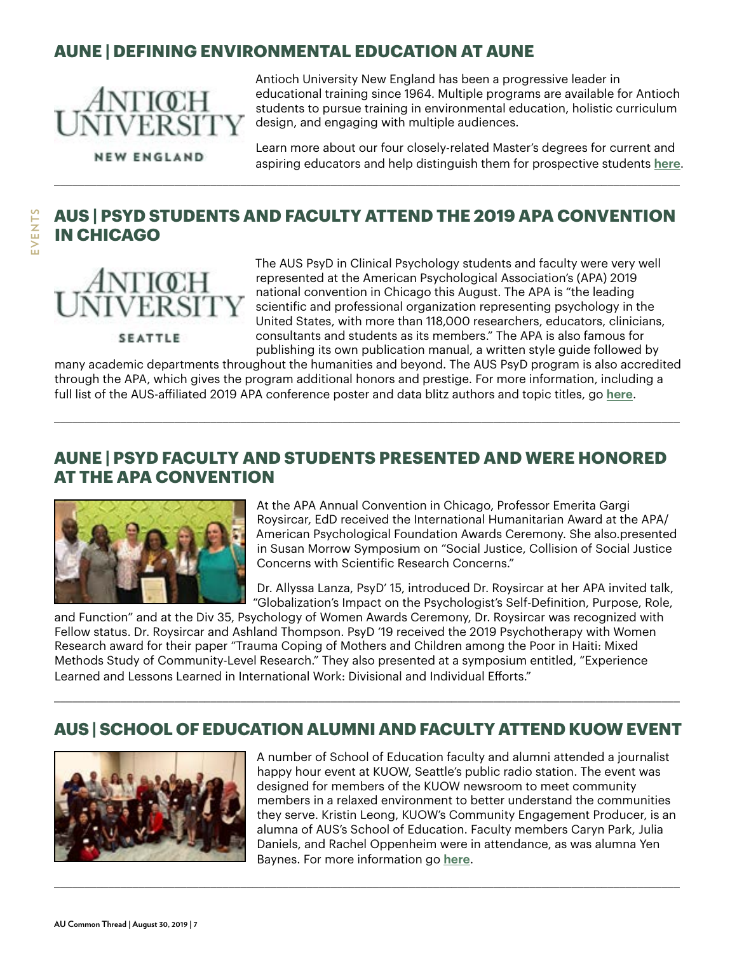# **AUNE | DEFINING ENVIRONMENTAL EDUCATION AT AUNE**



**NEW ENGLAND** 

Antioch University New England has been a progressive leader in educational training since 1964. Multiple programs are available for Antioch students to pursue training in environmental education, holistic curriculum design, and engaging with multiple audiences.

Learn more about our four closely-related Master's degrees for current and aspiring educators and help distinguish them for prospective students **[here](https://www.antioch.edu/new-england/2019/07/22/defining-environmental-education-at-aune/)**.

# **AUS | PSYD STUDENTS AND FACULTY ATTEND THE 2019 APA CONVENTION IN CHICAGO**

\_\_\_\_\_\_\_\_\_\_\_\_\_\_\_\_\_\_\_\_\_\_\_\_\_\_\_\_\_\_\_\_\_\_\_\_\_\_\_\_\_\_\_\_\_\_\_\_\_\_\_\_\_\_\_\_\_\_\_\_\_\_\_\_\_\_\_\_\_\_\_\_\_\_\_\_\_\_\_\_\_\_\_\_\_\_\_\_\_\_\_\_\_\_\_\_\_\_\_\_\_\_\_\_

**SEATTLE** 

**EVENTS**

**EVENTS** 

The AUS PsyD in Clinical Psychology students and faculty were very well represented at the American Psychological Association's (APA) 2019 national convention in Chicago this August. The APA is "the leading scientific and professional organization representing psychology in the United States, with more than 118,000 researchers, educators, clinicians, consultants and students as its members." The APA is also famous for publishing its own publication manual, a written style guide followed by

many academic departments throughout the humanities and beyond. The AUS PsyD program is also accredited through the APA, which gives the program additional honors and prestige. For more information, including a full list of the AUS-affiliated 2019 APA conference poster and data blitz authors and topic titles, go **[here](https://www.antioch.edu/seattle/2019/08/19/aus-psyd-students-and-faculty-at-the-2019-apa-convention-in-chicago/)**.

\_\_\_\_\_\_\_\_\_\_\_\_\_\_\_\_\_\_\_\_\_\_\_\_\_\_\_\_\_\_\_\_\_\_\_\_\_\_\_\_\_\_\_\_\_\_\_\_\_\_\_\_\_\_\_\_\_\_\_\_\_\_\_\_\_\_\_\_\_\_\_\_\_\_\_\_\_\_\_\_\_\_\_\_\_\_\_\_\_\_\_\_\_\_\_\_\_\_\_\_\_\_\_\_

#### **AUNE | PSYD FACULTY AND STUDENTS PRESENTED AND WERE HONORED AT THE APA CONVENTION**



At the APA Annual Convention in Chicago, Professor Emerita Gargi Roysircar, EdD received the International Humanitarian Award at the APA/ American Psychological Foundation Awards Ceremony. She also.presented in Susan Morrow Symposium on "Social Justice, Collision of Social Justice Concerns with Scientific Research Concerns."

Dr. Allyssa Lanza, PsyD' 15, introduced Dr. Roysircar at her APA invited talk, "Globalization's Impact on the Psychologist's Self-Definition, Purpose, Role,

and Function" and at the Div 35, Psychology of Women Awards Ceremony, Dr. Roysircar was recognized with Fellow status. Dr. Roysircar and Ashland Thompson. PsyD '19 received the 2019 Psychotherapy with Women Research award for their paper "Trauma Coping of Mothers and Children among the Poor in Haiti: Mixed Methods Study of Community-Level Research." They also presented at a symposium entitled, "Experience Learned and Lessons Learned in International Work: Divisional and Individual Efforts."

#### **AUS | SCHOOL OF EDUCATION ALUMNI AND FACULTY ATTEND KUOW EVENT**

\_\_\_\_\_\_\_\_\_\_\_\_\_\_\_\_\_\_\_\_\_\_\_\_\_\_\_\_\_\_\_\_\_\_\_\_\_\_\_\_\_\_\_\_\_\_\_\_\_\_\_\_\_\_\_\_\_\_\_\_\_\_\_\_\_\_\_\_\_\_\_\_\_\_\_\_\_\_\_\_\_\_\_\_\_\_\_\_\_\_\_\_\_\_\_\_\_\_\_\_\_\_\_\_

\_\_\_\_\_\_\_\_\_\_\_\_\_\_\_\_\_\_\_\_\_\_\_\_\_\_\_\_\_\_\_\_\_\_\_\_\_\_\_\_\_\_\_\_\_\_\_\_\_\_\_\_\_\_\_\_\_\_\_\_\_\_\_\_\_\_\_\_\_\_\_\_\_\_\_\_\_\_\_\_\_\_\_\_\_\_\_\_\_\_\_\_\_\_\_\_\_\_\_\_\_\_\_\_



A number of School of Education faculty and alumni attended a journalist happy hour event at KUOW, Seattle's public radio station. The event was designed for members of the KUOW newsroom to meet community members in a relaxed environment to better understand the communities they serve. Kristin Leong, KUOW's Community Engagement Producer, is an alumna of AUS's School of Education. Faculty members Caryn Park, Julia Daniels, and Rachel Oppenheim were in attendance, as was alumna Yen Baynes. For more information go **[here](https://www.antioch.edu/seattle/2019/08/13/school-of-education-alumni-and-faculty-attend-kuow-event/)**.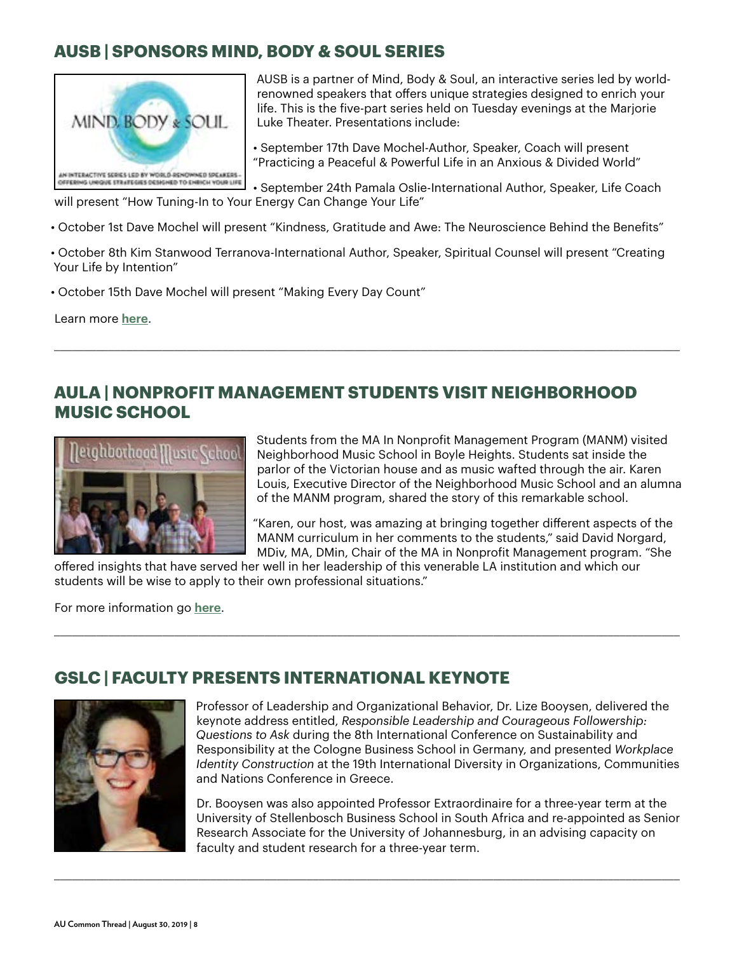# **AUSB | SPONSORS MIND, BODY & SOUL SERIES**



AUSB is a partner of Mind, Body & Soul, an interactive series led by worldrenowned speakers that offers unique strategies designed to enrich your life. This is the five-part series held on Tuesday evenings at the Marjorie Luke Theater. Presentations include:

• September 17th Dave Mochel-Author, Speaker, Coach will present "Practicing a Peaceful & Powerful Life in an Anxious & Divided World"

• September 24th Pamala Oslie-International Author, Speaker, Life Coach will present "How Tuning-In to Your Energy Can Change Your Life"

- October 1st Dave Mochel will present "Kindness, Gratitude and Awe: The Neuroscience Behind the Benefits"
- October 8th Kim Stanwood Terranova-International Author, Speaker, Spiritual Counsel will present "Creating Your Life by Intention"

\_\_\_\_\_\_\_\_\_\_\_\_\_\_\_\_\_\_\_\_\_\_\_\_\_\_\_\_\_\_\_\_\_\_\_\_\_\_\_\_\_\_\_\_\_\_\_\_\_\_\_\_\_\_\_\_\_\_\_\_\_\_\_\_\_\_\_\_\_\_\_\_\_\_\_\_\_\_\_\_\_\_\_\_\_\_\_\_\_\_\_\_\_\_\_\_\_\_\_\_\_\_\_\_

• October 15th Dave Mochel will present "Making Every Day Count"

Learn more **[here](https://mindbodysoul.brownpapertickets.com)**.

#### **AULA | NONPROFIT MANAGEMENT STUDENTS VISIT NEIGHBORHOOD MUSIC SCHOOL**



Students from the MA In Nonprofit Management Program (MANM) visited Neighborhood Music School in Boyle Heights. Students sat inside the parlor of the Victorian house and as music wafted through the air. Karen Louis, Executive Director of the Neighborhood Music School and an alumna of the MANM program, shared the story of this remarkable school.

"Karen, our host, was amazing at bringing together different aspects of the MANM curriculum in her comments to the students," said David Norgard, MDiv, MA, DMin, Chair of the MA in Nonprofit Management program. "She

offered insights that have served her well in her leadership of this venerable LA institution and which our students will be wise to apply to their own professional situations."

\_\_\_\_\_\_\_\_\_\_\_\_\_\_\_\_\_\_\_\_\_\_\_\_\_\_\_\_\_\_\_\_\_\_\_\_\_\_\_\_\_\_\_\_\_\_\_\_\_\_\_\_\_\_\_\_\_\_\_\_\_\_\_\_\_\_\_\_\_\_\_\_\_\_\_\_\_\_\_\_\_\_\_\_\_\_\_\_\_\_\_\_\_\_\_\_\_\_\_\_\_\_\_\_

\_\_\_\_\_\_\_\_\_\_\_\_\_\_\_\_\_\_\_\_\_\_\_\_\_\_\_\_\_\_\_\_\_\_\_\_\_\_\_\_\_\_\_\_\_\_\_\_\_\_\_\_\_\_\_\_\_\_\_\_\_\_\_\_\_\_\_\_\_\_\_\_\_\_\_\_\_\_\_\_\_\_\_\_\_\_\_\_\_\_\_\_\_\_\_\_\_\_\_\_\_\_\_\_

For more information go **[here](https://www.antioch.edu/los-angeles/2019/08/12/71394/)**.

# **GSLC | FACULTY PRESENTS INTERNATIONAL KEYNOTE**



Professor of Leadership and Organizational Behavior, Dr. Lize Booysen, delivered the keynote address entitled, *Responsible Leadership and Courageous Followership: Questions to Ask* during the 8th International Conference on Sustainability and Responsibility at the Cologne Business School in Germany, and presented *Workplace Identity Construction* at the 19th International Diversity in Organizations, Communities and Nations Conference in Greece.

Dr. Booysen was also appointed Professor Extraordinaire for a three-year term at the University of Stellenbosch Business School in South Africa and re-appointed as Senior Research Associate for the University of Johannesburg, in an advising capacity on faculty and student research for a three-year term.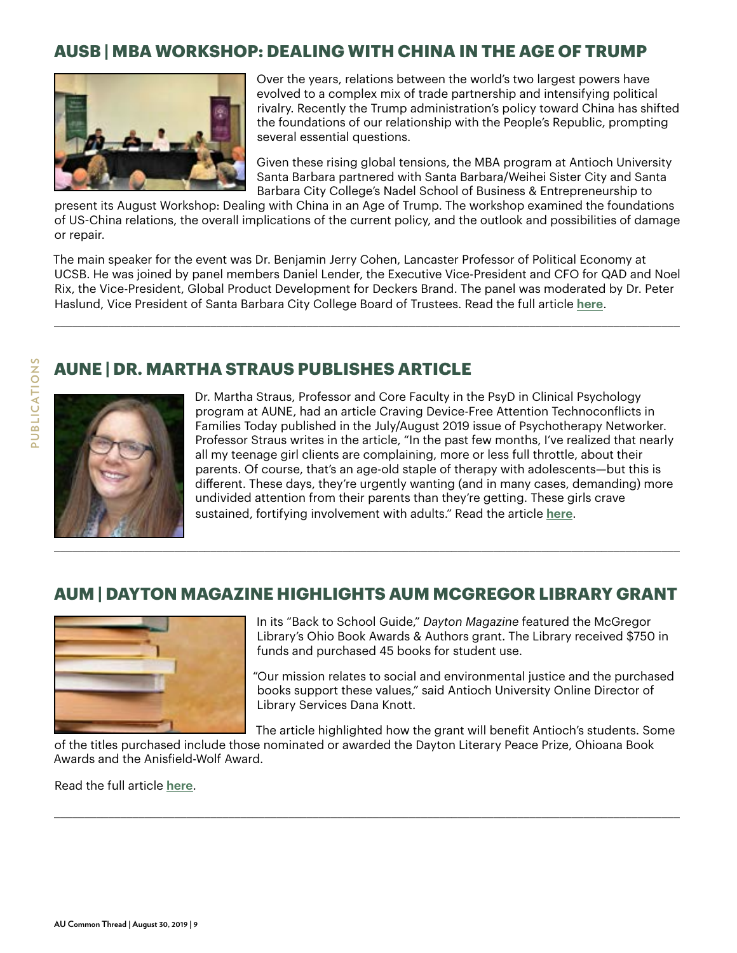# **AUSB | MBA WORKSHOP: DEALING WITH CHINA IN THE AGE OF TRUMP**



Over the years, relations between the world's two largest powers have evolved to a complex mix of trade partnership and intensifying political rivalry. Recently the Trump administration's policy toward China has shifted the foundations of our relationship with the People's Republic, prompting several essential questions.

Given these rising global tensions, the MBA program at Antioch University Santa Barbara partnered with Santa Barbara/Weihei Sister City and Santa Barbara City College's Nadel School of Business & Entrepreneurship to

present its August Workshop: Dealing with China in an Age of Trump. The workshop examined the foundations of US-China relations, the overall implications of the current policy, and the outlook and possibilities of damage or repair.

The main speaker for the event was Dr. Benjamin Jerry Cohen, Lancaster Professor of Political Economy at UCSB. He was joined by panel members Daniel Lender, the Executive Vice-President and CFO for QAD and Noel Rix, the Vice-President, Global Product Development for Deckers Brand. The panel was moderated by Dr. Peter Haslund, Vice President of Santa Barbara City College Board of Trustees. Read the full article **[here](https://www.antioch.edu/santa-barbara/2019/08/22/dealing-with-china-in-an-age-of-trump/)**.

\_\_\_\_\_\_\_\_\_\_\_\_\_\_\_\_\_\_\_\_\_\_\_\_\_\_\_\_\_\_\_\_\_\_\_\_\_\_\_\_\_\_\_\_\_\_\_\_\_\_\_\_\_\_\_\_\_\_\_\_\_\_\_\_\_\_\_\_\_\_\_\_\_\_\_\_\_\_\_\_\_\_\_\_\_\_\_\_\_\_\_\_\_\_\_\_\_\_\_\_\_\_\_\_

#### **AUNE | DR. MARTHA STRAUS PUBLISHES ARTICLE**



Dr. Martha Straus, Professor and Core Faculty in the PsyD in Clinical Psychology program at AUNE, had an article Craving Device-Free Attention Technoconflicts in Families Today published in the July/August 2019 issue of Psychotherapy Networker. Professor Straus writes in the article, "In the past few months, I've realized that nearly all my teenage girl clients are complaining, more or less full throttle, about their parents. Of course, that's an age-old staple of therapy with adolescents—but this is different. These days, they're urgently wanting (and in many cases, demanding) more undivided attention from their parents than they're getting. These girls crave sustained, fortifying involvement with adults." Read the article **[here](https://www.psychotherapynetworker.org/magazine/article/2384/craving-device-free-attention)**.

#### **AUM | DAYTON MAGAZINE HIGHLIGHTS AUM MCGREGOR LIBRARY GRANT**



In its "Back to School Guide," *Dayton Magazine* featured the McGregor Library's Ohio Book Awards & Authors grant. The Library received \$750 in funds and purchased 45 books for student use.

"Our mission relates to social and environmental justice and the purchased books support these values," said Antioch University Online Director of Library Services Dana Knott.

The article highlighted how the grant will benefit Antioch's students. Some

of the titles purchased include those nominated or awarded the Dayton Literary Peace Prize, Ohioana Book Awards and the Anisfield-Wolf Award.

\_\_\_\_\_\_\_\_\_\_\_\_\_\_\_\_\_\_\_\_\_\_\_\_\_\_\_\_\_\_\_\_\_\_\_\_\_\_\_\_\_\_\_\_\_\_\_\_\_\_\_\_\_\_\_\_\_\_\_\_\_\_\_\_\_\_\_\_\_\_\_\_\_\_\_\_\_\_\_\_\_\_\_\_\_\_\_\_\_\_\_\_\_\_\_\_\_\_\_\_\_\_\_\_

Read the full article **[here](http://thedaytonmagazine.com/DM/Articles/Back_to_School_Guide_6114.aspx)**.